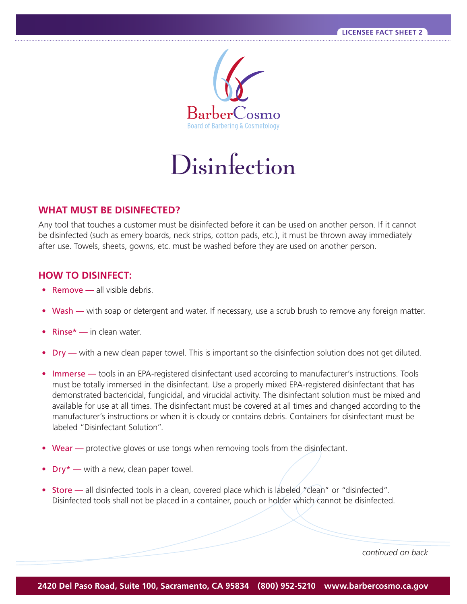

Disinfection

## **WHAT MUST BE DISINFECTED?**

Any tool that touches a customer must be disinfected before it can be used on another person. If it cannot be disinfected (such as emery boards, neck strips, cotton pads, etc.), it must be thrown away immediately after use. Towels, sheets, gowns, etc. must be washed before they are used on another person.

## **HOW TO DISINFECT:**

- **•** Remove all visible debris.
- Wash with soap or detergent and water. If necessary, use a scrub brush to remove any foreign matter.
- **•** Rinse\* in clean water.
- **•** Dry with a new clean paper towel. This is important so the disinfection solution does not get diluted.
- Immerse tools in an EPA-registered disinfectant used according to manufacturer's instructions. Tools must be totally immersed in the disinfectant. Use a properly mixed EPA-registered disinfectant that has demonstrated bactericidal, fungicidal, and virucidal activity. The disinfectant solution must be mixed and available for use at all times. The disinfectant must be covered at all times and changed according to the manufacturer's instructions or when it is cloudy or contains debris. Containers for disinfectant must be labeled "Disinfectant Solution".
- **Wear** protective gloves or use tongs when removing tools from the disinfectant.
- Dry<sup>\*</sup> with a new, clean paper towel.
- Store all disinfected tools in a clean, covered place which is labeled "clean" or "disinfected". Disinfected tools shall not be placed in a container, pouch or holder which cannot be disinfected.

*continued on back*